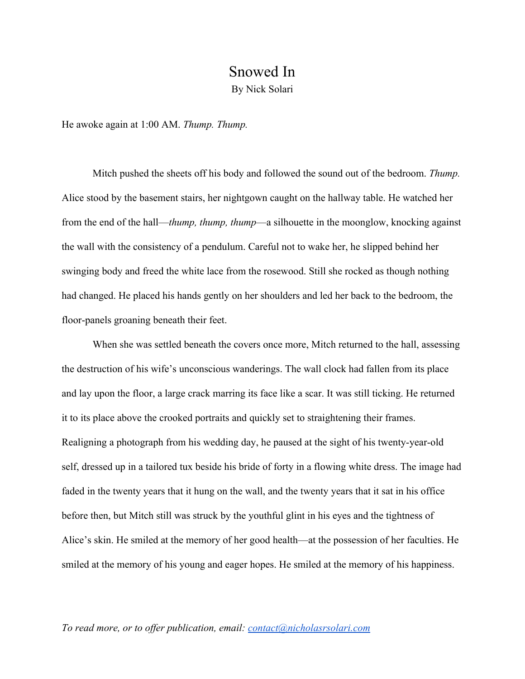## Snowed In

By Nick Solari

He awoke again at 1:00 AM. *Thump. Thump.*

Mitch pushed the sheets off his body and followed the sound out of the bedroom. *Thump.* Alice stood by the basement stairs, her nightgown caught on the hallway table. He watched her from the end of the hall—*thump, thump, thump*—a silhouette in the moonglow, knocking against the wall with the consistency of a pendulum. Careful not to wake her, he slipped behind her swinging body and freed the white lace from the rosewood. Still she rocked as though nothing had changed. He placed his hands gently on her shoulders and led her back to the bedroom, the floor-panels groaning beneath their feet.

When she was settled beneath the covers once more, Mitch returned to the hall, assessing the destruction of his wife's unconscious wanderings. The wall clock had fallen from its place and lay upon the floor, a large crack marring its face like a scar. It was still ticking. He returned it to its place above the crooked portraits and quickly set to straightening their frames. Realigning a photograph from his wedding day, he paused at the sight of his twenty-year-old self, dressed up in a tailored tux beside his bride of forty in a flowing white dress. The image had faded in the twenty years that it hung on the wall, and the twenty years that it sat in his office before then, but Mitch still was struck by the youthful glint in his eyes and the tightness of Alice's skin. He smiled at the memory of her good health—at the possession of her faculties. He smiled at the memory of his young and eager hopes. He smiled at the memory of his happiness.

## *To read more, or to offer publication, email: [contact@nicholasrsolari.com](mailto:contact@nicholasrsolari.com)*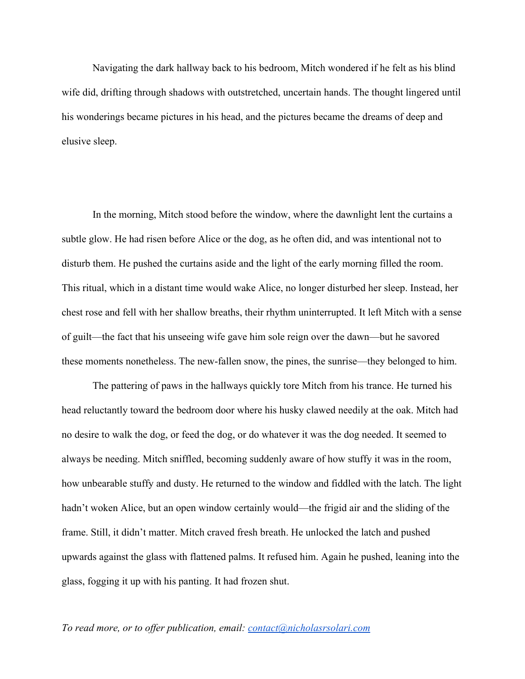Navigating the dark hallway back to his bedroom, Mitch wondered if he felt as his blind wife did, drifting through shadows with outstretched, uncertain hands. The thought lingered until his wonderings became pictures in his head, and the pictures became the dreams of deep and elusive sleep.

In the morning, Mitch stood before the window, where the dawnlight lent the curtains a subtle glow. He had risen before Alice or the dog, as he often did, and was intentional not to disturb them. He pushed the curtains aside and the light of the early morning filled the room. This ritual, which in a distant time would wake Alice, no longer disturbed her sleep. Instead, her chest rose and fell with her shallow breaths, their rhythm uninterrupted. It left Mitch with a sense of guilt—the fact that his unseeing wife gave him sole reign over the dawn—but he savored these moments nonetheless. The new-fallen snow, the pines, the sunrise—they belonged to him.

The pattering of paws in the hallways quickly tore Mitch from his trance. He turned his head reluctantly toward the bedroom door where his husky clawed needily at the oak. Mitch had no desire to walk the dog, or feed the dog, or do whatever it was the dog needed. It seemed to always be needing. Mitch sniffled, becoming suddenly aware of how stuffy it was in the room, how unbearable stuffy and dusty. He returned to the window and fiddled with the latch. The light hadn't woken Alice, but an open window certainly would—the frigid air and the sliding of the frame. Still, it didn't matter. Mitch craved fresh breath. He unlocked the latch and pushed upwards against the glass with flattened palms. It refused him. Again he pushed, leaning into the glass, fogging it up with his panting. It had frozen shut.

## *To read more, or to offer publication, email: [contact@nicholasrsolari.com](mailto:contact@nicholasrsolari.com)*